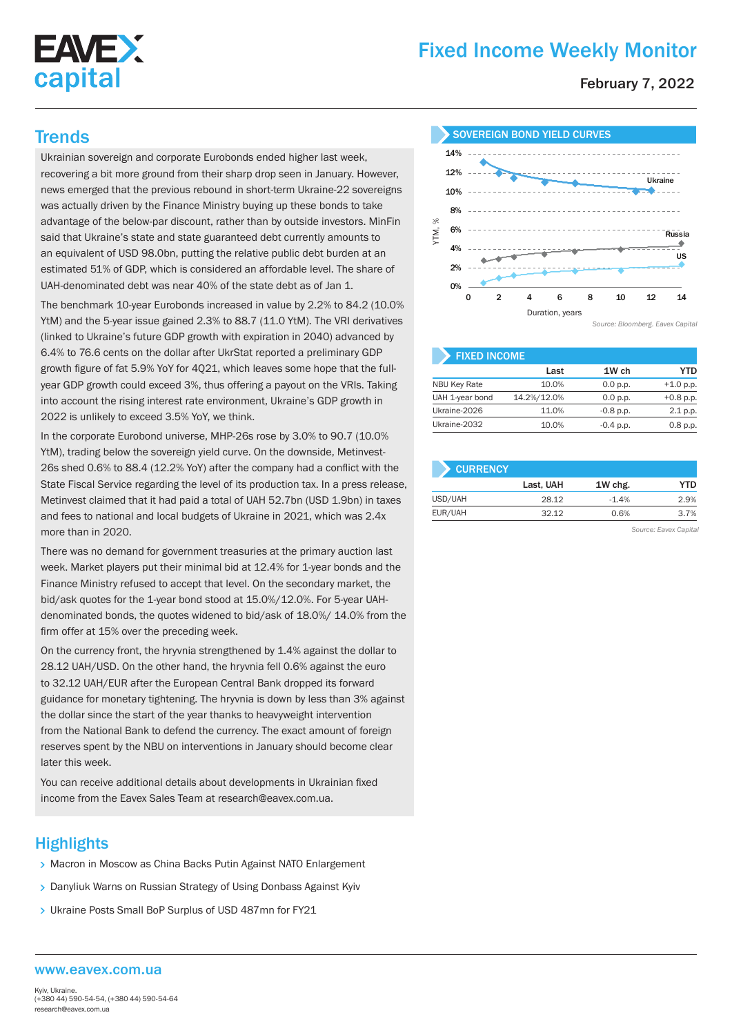

# Fixed Income Weekly Monitor

February 7, 2022

Ukrainian sovereign and corporate Eurobonds ended higher last week, recovering a bit more ground from their sharp drop seen in January. However, news emerged that the previous rebound in short-term Ukraine-22 sovereigns was actually driven by the Finance Ministry buying up these bonds to take advantage of the below-par discount, rather than by outside investors. MinFin said that Ukraine's state and state guaranteed debt currently amounts to an equivalent of USD 98.0bn, putting the relative public debt burden at an estimated 51% of GDP, which is considered an affordable level. The share of UAH-denominated debt was near 40% of the state debt as of Jan 1.

The benchmark 10-year Eurobonds increased in value by 2.2% to 84.2 (10.0% YtM) and the 5-year issue gained 2.3% to 88.7 (11.0 YtM). The VRI derivatives (linked to Ukraine's future GDP growth with expiration in 2040) advanced by 6.4% to 76.6 cents on the dollar after UkrStat reported a preliminary GDP growth figure of fat 5.9% YoY for 4Q21, which leaves some hope that the fullyear GDP growth could exceed 3%, thus offering a payout on the VRIs. Taking into account the rising interest rate environment, Ukraine's GDP growth in 2022 is unlikely to exceed 3.5% YoY, we think.

In the corporate Eurobond universe, MHP-26s rose by 3.0% to 90.7 (10.0% YtM), trading below the sovereign yield curve. On the downside, Metinvest-26s shed 0.6% to 88.4 (12.2% YoY) after the company had a conflict with the State Fiscal Service regarding the level of its production tax. In a press release, Metinvest claimed that it had paid a total of UAH 52.7bn (USD 1.9bn) in taxes and fees to national and local budgets of Ukraine in 2021, which was 2.4x more than in 2020.

There was no demand for government treasuries at the primary auction last week. Market players put their minimal bid at 12.4% for 1-year bonds and the Finance Ministry refused to accept that level. On the secondary market, the bid/ask quotes for the 1-year bond stood at 15.0%/12.0%. For 5-year UAHdenominated bonds, the quotes widened to bid/ask of 18.0%/ 14.0% from the firm offer at 15% over the preceding week.

On the currency front, the hryvnia strengthened by 1.4% against the dollar to 28.12 UAH/USD. On the other hand, the hryvnia fell 0.6% against the euro to 32.12 UAH/EUR after the European Central Bank dropped its forward guidance for monetary tightening. The hryvnia is down by less than 3% against the dollar since the start of the year thanks to heavyweight intervention from the National Bank to defend the currency. The exact amount of foreign reserves spent by the NBU on interventions in January should become clear later this week.

You can receive additional details about developments in Ukrainian fixed income from the Eavex Sales Team at research@eavex.com.ua.

# **Highlights**

- > Macron in Moscow as China Backs Putin Against NATO Enlargement
- Danyliuk Warns on Russian Strategy of Using Donbass Against Kyiv
- > Ukraine Posts Small BoP Surplus of USD 487mn for FY21

#### Trends SOVEREIGN BOND YIELD CURVES 14% 12% Ukraine 10% 8% YTM, % **GO/** Russia 4% US وسري  $20/$ 0% 0 2 4 6 8 10 12 14 Duration, years *Source: Bloomberg. Eavex Capital*

| <b>FIXED INCOME</b> |             |             |             |  |  |  |  |
|---------------------|-------------|-------------|-------------|--|--|--|--|
|                     | Last        | 1W ch       | YTD         |  |  |  |  |
| <b>NBU Key Rate</b> | 10.0%       | 0.0 p.p.    | $+1.0$ p.p. |  |  |  |  |
| UAH 1-year bond     | 14.2%/12.0% | 0.0 p.p.    | $+0.8$ p.p. |  |  |  |  |
| Ukraine-2026        | 11.0%       | $-0.8$ p.p. | 2.1 p.p.    |  |  |  |  |
| Ukraine-2032        | 10.0%       | $-0.4$ p.p. | 0.8 p.p.    |  |  |  |  |

| <b>CURRENCY</b> |           |         |      |
|-----------------|-----------|---------|------|
|                 | Last, UAH | 1W chg. | YTD  |
| USD/UAH         | 28.12     | $-1.4%$ | 2.9% |
| EUR/UAH         | 32.12     | 0.6%    | 3.7% |

*Source: Eavex Capital*

#### www.eavex.com.ua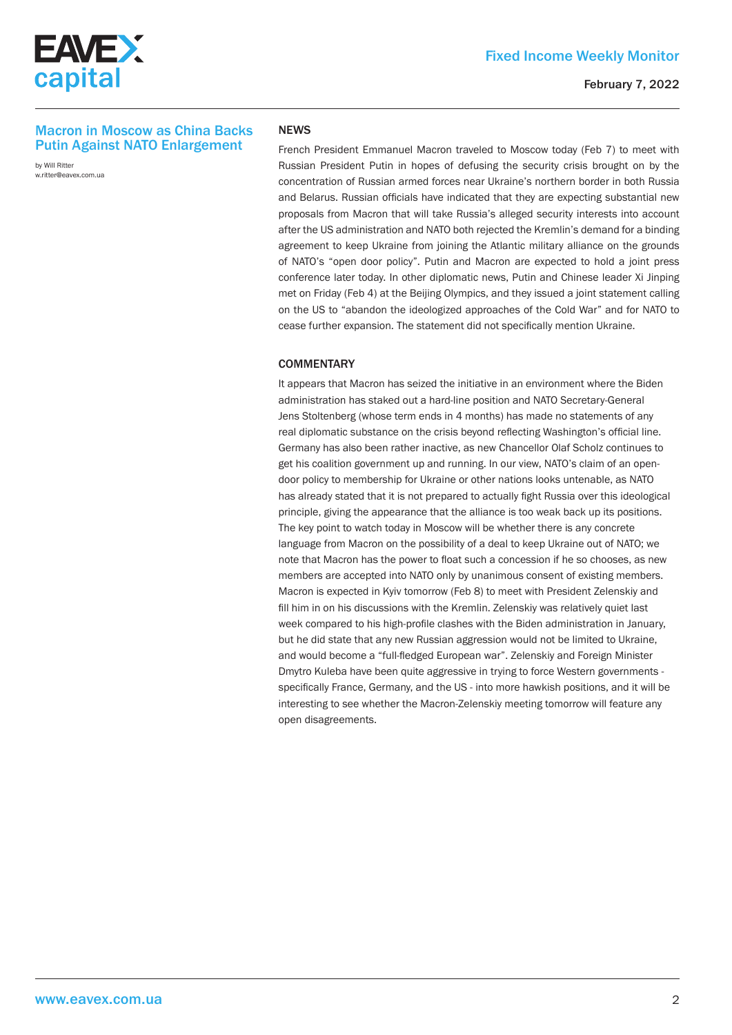

# Fixed Income Weekly Monitor

# Macron in Moscow as China Backs Putin Against NATO Enlargement

by Will Ritter w.ritter@eavex.com.ua

#### **NFWS**

French President Emmanuel Macron traveled to Moscow today (Feb 7) to meet with Russian President Putin in hopes of defusing the security crisis brought on by the concentration of Russian armed forces near Ukraine's northern border in both Russia and Belarus. Russian officials have indicated that they are expecting substantial new proposals from Macron that will take Russia's alleged security interests into account after the US administration and NATO both rejected the Kremlin's demand for a binding agreement to keep Ukraine from joining the Atlantic military alliance on the grounds of NATO's "open door policy". Putin and Macron are expected to hold a joint press conference later today. In other diplomatic news, Putin and Chinese leader Xi Jinping met on Friday (Feb 4) at the Beijing Olympics, and they issued a joint statement calling on the US to "abandon the ideologized approaches of the Cold War" and for NATO to cease further expansion. The statement did not specifically mention Ukraine.

## **COMMENTARY**

It appears that Macron has seized the initiative in an environment where the Biden administration has staked out a hard-line position and NATO Secretary-General Jens Stoltenberg (whose term ends in 4 months) has made no statements of any real diplomatic substance on the crisis beyond reflecting Washington's official line. Germany has also been rather inactive, as new Chancellor Olaf Scholz continues to get his coalition government up and running. In our view, NATO's claim of an opendoor policy to membership for Ukraine or other nations looks untenable, as NATO has already stated that it is not prepared to actually fight Russia over this ideological principle, giving the appearance that the alliance is too weak back up its positions. The key point to watch today in Moscow will be whether there is any concrete language from Macron on the possibility of a deal to keep Ukraine out of NATO; we note that Macron has the power to float such a concession if he so chooses, as new members are accepted into NATO only by unanimous consent of existing members. Macron is expected in Kyiv tomorrow (Feb 8) to meet with President Zelenskiy and fill him in on his discussions with the Kremlin. Zelenskiy was relatively quiet last week compared to his high-profile clashes with the Biden administration in January, but he did state that any new Russian aggression would not be limited to Ukraine, and would become a "full-fledged European war". Zelenskiy and Foreign Minister Dmytro Kuleba have been quite aggressive in trying to force Western governments specifically France, Germany, and the US - into more hawkish positions, and it will be interesting to see whether the Macron-Zelenskiy meeting tomorrow will feature any open disagreements.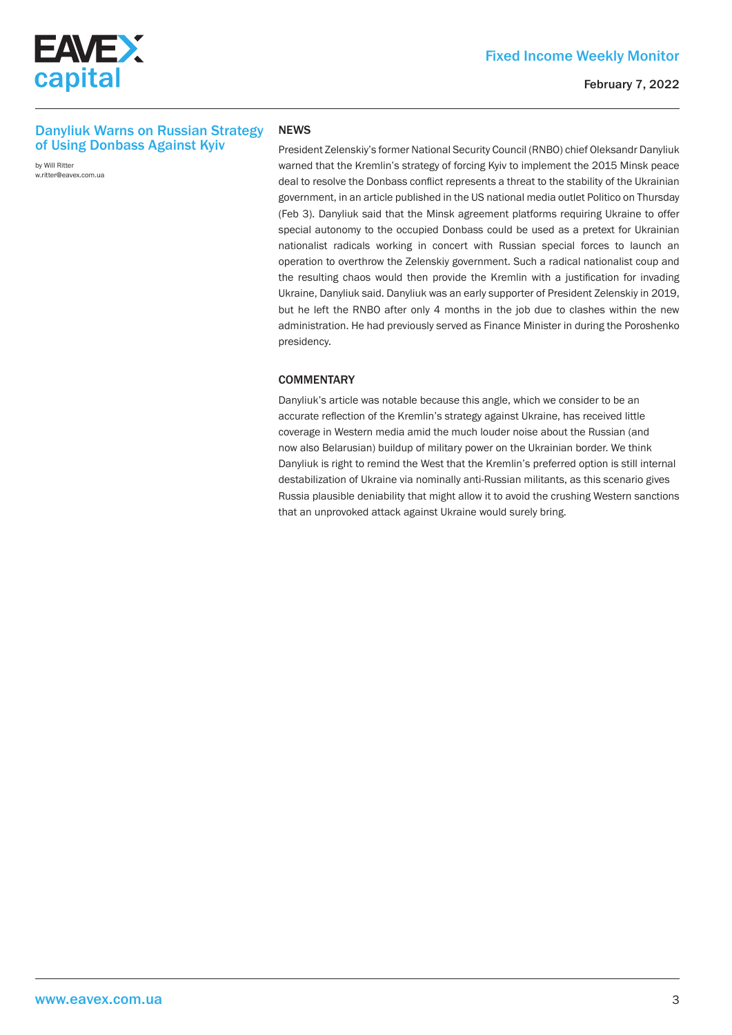

# Danyliuk Warns on Russian Strategy of Using Donbass Against Kyiv

by Will Ritter w.ritter@eavex.com.ua

#### **NEWS**

President Zelenskiy's former National Security Council (RNBO) chief Oleksandr Danyliuk warned that the Kremlin's strategy of forcing Kyiv to implement the 2015 Minsk peace deal to resolve the Donbass conflict represents a threat to the stability of the Ukrainian government, in an article published in the US national media outlet Politico on Thursday (Feb 3). Danyliuk said that the Minsk agreement platforms requiring Ukraine to offer special autonomy to the occupied Donbass could be used as a pretext for Ukrainian nationalist radicals working in concert with Russian special forces to launch an operation to overthrow the Zelenskiy government. Such a radical nationalist coup and the resulting chaos would then provide the Kremlin with a justification for invading Ukraine, Danyliuk said. Danyliuk was an early supporter of President Zelenskiy in 2019, but he left the RNBO after only 4 months in the job due to clashes within the new administration. He had previously served as Finance Minister in during the Poroshenko presidency.

## **COMMENTARY**

Danyliuk's article was notable because this angle, which we consider to be an accurate reflection of the Kremlin's strategy against Ukraine, has received little coverage in Western media amid the much louder noise about the Russian (and now also Belarusian) buildup of military power on the Ukrainian border. We think Danyliuk is right to remind the West that the Kremlin's preferred option is still internal destabilization of Ukraine via nominally anti-Russian militants, as this scenario gives Russia plausible deniability that might allow it to avoid the crushing Western sanctions that an unprovoked attack against Ukraine would surely bring.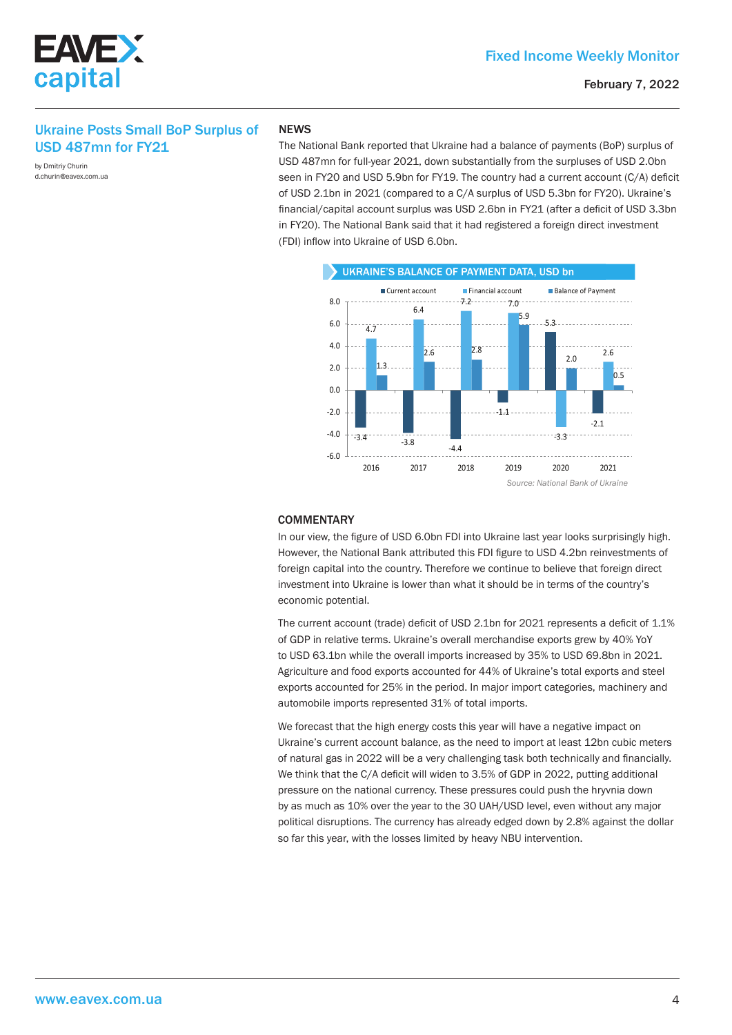

# Ukraine Posts Small BoP Surplus of USD 487mn for FY21

by Dmitriy Churin d.churin@eavex.com.ua

EAVE X

capital

#### **NEWS**

The National Bank reported that Ukraine had a balance of payments (BoP) surplus of USD 487mn for full-year 2021, down substantially from the surpluses of USD 2.0bn seen in FY20 and USD 5.9bn for FY19. The country had a current account (C/A) deficit of USD 2.1bn in 2021 (compared to a C/A surplus of USD 5.3bn for FY20). Ukraine's financial/capital account surplus was USD 2.6bn in FY21 (after a deficit of USD 3.3bn in FY20). The National Bank said that it had registered a foreign direct investment (FDI) inflow into Ukraine of USD 6.0bn.



#### **COMMENTARY**

In our view, the figure of USD 6.0bn FDI into Ukraine last year looks surprisingly high. However, the National Bank attributed this FDI figure to USD 4.2bn reinvestments of foreign capital into the country. Therefore we continue to believe that foreign direct investment into Ukraine is lower than what it should be in terms of the country's economic potential.

The current account (trade) deficit of USD 2.1bn for 2021 represents a deficit of 1.1% of GDP in relative terms. Ukraine's overall merchandise exports grew by 40% YoY to USD 63.1bn while the overall imports increased by 35% to USD 69.8bn in 2021. Agriculture and food exports accounted for 44% of Ukraine's total exports and steel exports accounted for 25% in the period. In major import categories, machinery and automobile imports represented 31% of total imports.

We forecast that the high energy costs this year will have a negative impact on Ukraine's current account balance, as the need to import at least 12bn cubic meters of natural gas in 2022 will be a very challenging task both technically and financially. We think that the C/A deficit will widen to 3.5% of GDP in 2022, putting additional pressure on the national currency. These pressures could push the hryvnia down by as much as 10% over the year to the 30 UAH/USD level, even without any major political disruptions. The currency has already edged down by 2.8% against the dollar so far this year, with the losses limited by heavy NBU intervention.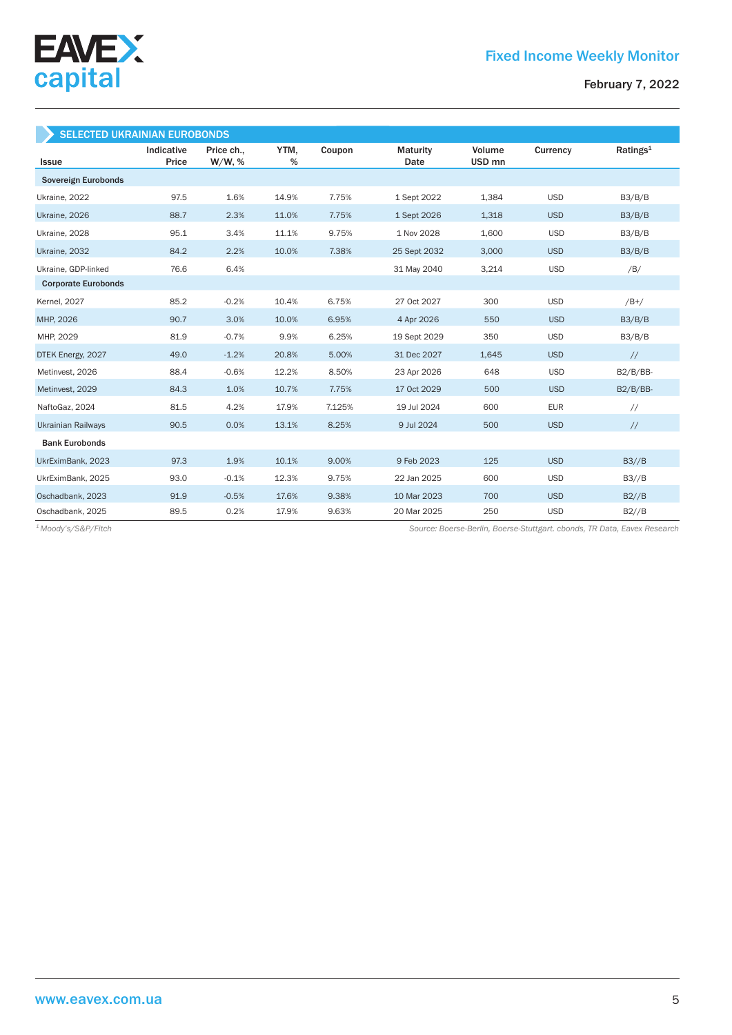

| <b>SELECTED UKRAINIAN EUROBONDS</b> |                     |                         |           |        |                  |                             |            |                      |
|-------------------------------------|---------------------|-------------------------|-----------|--------|------------------|-----------------------------|------------|----------------------|
| <b>Issue</b>                        | Indicative<br>Price | Price ch.,<br>$W/W$ , % | YTM,<br>% | Coupon | Maturity<br>Date | Volume<br>USD <sub>mn</sub> | Currency   | Ratings <sup>1</sup> |
| <b>Sovereign Eurobonds</b>          |                     |                         |           |        |                  |                             |            |                      |
| Ukraine, 2022                       | 97.5                | 1.6%                    | 14.9%     | 7.75%  | 1 Sept 2022      | 1,384                       | <b>USD</b> | B3/B/B               |
| Ukraine, 2026                       | 88.7                | 2.3%                    | 11.0%     | 7.75%  | 1 Sept 2026      | 1,318                       | <b>USD</b> | B3/B/B               |
| Ukraine, 2028                       | 95.1                | 3.4%                    | 11.1%     | 9.75%  | 1 Nov 2028       | 1,600                       | <b>USD</b> | B3/B/B               |
| Ukraine, 2032                       | 84.2                | 2.2%                    | 10.0%     | 7.38%  | 25 Sept 2032     | 3,000                       | <b>USD</b> | B3/B/B               |
| Ukraine, GDP-linked                 | 76.6                | 6.4%                    |           |        | 31 May 2040      | 3,214                       | <b>USD</b> | /B/                  |
| <b>Corporate Eurobonds</b>          |                     |                         |           |        |                  |                             |            |                      |
| <b>Kernel</b> , 2027                | 85.2                | $-0.2%$                 | 10.4%     | 6.75%  | 27 Oct 2027      | 300                         | <b>USD</b> | $/B+/$               |
| MHP, 2026                           | 90.7                | 3.0%                    | 10.0%     | 6.95%  | 4 Apr 2026       | 550                         | <b>USD</b> | B3/B/B               |
| MHP, 2029                           | 81.9                | $-0.7%$                 | 9.9%      | 6.25%  | 19 Sept 2029     | 350                         | <b>USD</b> | B3/B/B               |
| DTEK Energy, 2027                   | 49.0                | $-1.2%$                 | 20.8%     | 5.00%  | 31 Dec 2027      | 1,645                       | <b>USD</b> | $\frac{1}{2}$        |
| Metinvest, 2026                     | 88.4                | $-0.6%$                 | 12.2%     | 8.50%  | 23 Apr 2026      | 648                         | <b>USD</b> | $B2/B/BB-$           |
| Metinvest, 2029                     | 84.3                | 1.0%                    | 10.7%     | 7.75%  | 17 Oct 2029      | 500                         | <b>USD</b> | $B2/B/BB-$           |
| NaftoGaz, 2024                      | 81.5                | 4.2%                    | 17.9%     | 7.125% | 19 Jul 2024      | 600                         | <b>EUR</b> | $\frac{1}{2}$        |
| <b>Ukrainian Railways</b>           | 90.5                | 0.0%                    | 13.1%     | 8.25%  | 9 Jul 2024       | 500                         | <b>USD</b> | $\frac{1}{2}$        |
| <b>Bank Eurobonds</b>               |                     |                         |           |        |                  |                             |            |                      |
| UkrEximBank, 2023                   | 97.3                | 1.9%                    | 10.1%     | 9.00%  | 9 Feb 2023       | 125                         | <b>USD</b> | B3//B                |
| UkrEximBank, 2025                   | 93.0                | $-0.1%$                 | 12.3%     | 9.75%  | 22 Jan 2025      | 600                         | <b>USD</b> | B3//B                |
| Oschadbank, 2023                    | 91.9                | $-0.5%$                 | 17.6%     | 9.38%  | 10 Mar 2023      | 700                         | <b>USD</b> | B2//B                |
| Oschadbank, 2025                    | 89.5                | 0.2%                    | 17.9%     | 9.63%  | 20 Mar 2025      | 250                         | <b>USD</b> | B2//B                |

*Source: Boerse-Berlin, Boerse-Stuttgart. cbonds, TR Data, Eavex Research 1 Moody's/S&P/Fitch*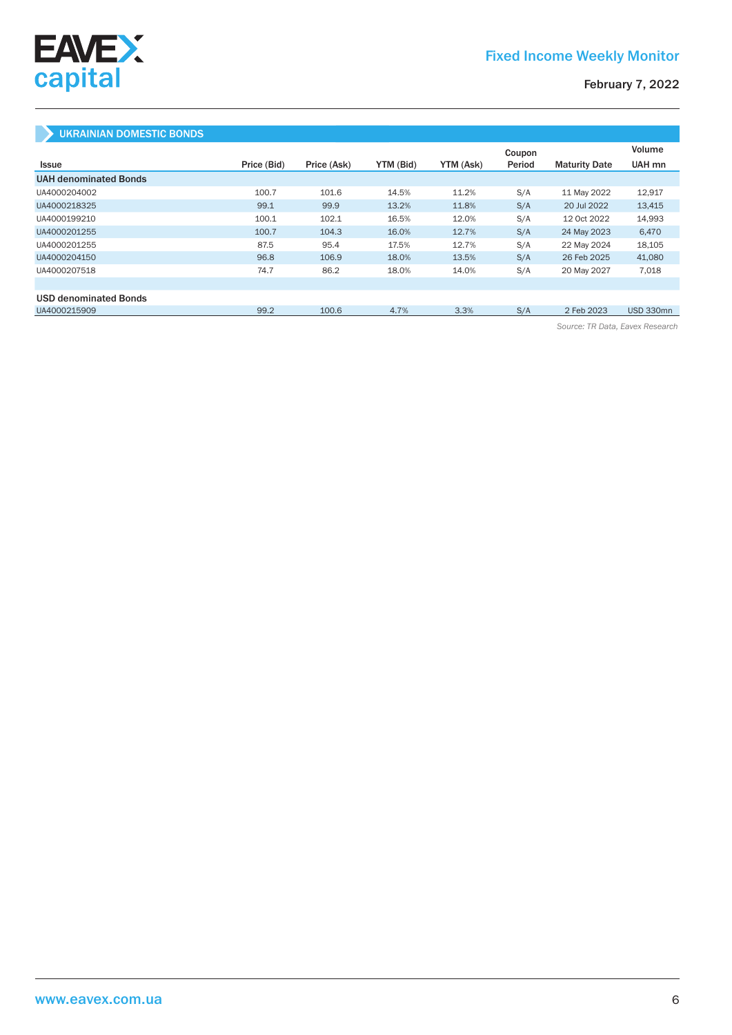

# UKRAINIAN DOMESTIC BONDS

|                              |             |             |           |           | Coupon |                      | Volume           |
|------------------------------|-------------|-------------|-----------|-----------|--------|----------------------|------------------|
| Issue                        | Price (Bid) | Price (Ask) | YTM (Bid) | YTM (Ask) | Period | <b>Maturity Date</b> | UAH mn           |
| <b>UAH denominated Bonds</b> |             |             |           |           |        |                      |                  |
| UA4000204002                 | 100.7       | 101.6       | 14.5%     | 11.2%     | S/A    | 11 May 2022          | 12,917           |
| UA4000218325                 | 99.1        | 99.9        | 13.2%     | 11.8%     | S/A    | 20 Jul 2022          | 13,415           |
| UA4000199210                 | 100.1       | 102.1       | 16.5%     | 12.0%     | S/A    | 12 Oct 2022          | 14,993           |
| UA4000201255                 | 100.7       | 104.3       | 16.0%     | 12.7%     | S/A    | 24 May 2023          | 6,470            |
| UA4000201255                 | 87.5        | 95.4        | 17.5%     | 12.7%     | S/A    | 22 May 2024          | 18,105           |
| UA4000204150                 | 96.8        | 106.9       | 18.0%     | 13.5%     | S/A    | 26 Feb 2025          | 41,080           |
| UA4000207518                 | 74.7        | 86.2        | 18.0%     | 14.0%     | S/A    | 20 May 2027          | 7,018            |
|                              |             |             |           |           |        |                      |                  |
| <b>USD denominated Bonds</b> |             |             |           |           |        |                      |                  |
| UA4000215909                 | 99.2        | 100.6       | 4.7%      | 3.3%      | S/A    | 2 Feb 2023           | <b>USD 330mn</b> |

*Source: TR Data, Eavex Research*